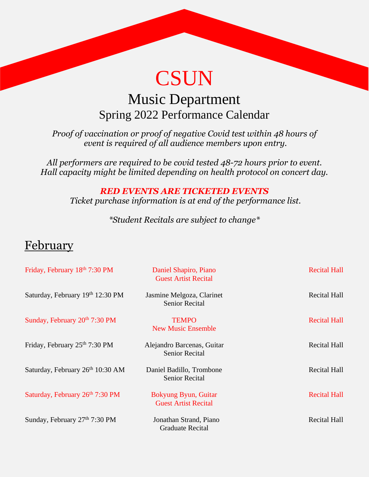# **CSUN**

### Music Department Spring 2022 Performance Calendar

*Proof of vaccination or proof of negative Covid test within 48 hours of event is required of all audience members upon entry.* 

*All performers are required to be covid tested 48-72 hours prior to event. Hall capacity might be limited depending on health protocol on concert day.*

> *RED EVENTS ARE TICKETED EVENTS Ticket purchase information is at end of the performance list.*

> > *\*Student Recitals are subject to change\**

#### February

| Friday, February 18th 7:30 PM    | Daniel Shapiro, Piano<br><b>Guest Artist Recital</b> | <b>Recital Hall</b> |
|----------------------------------|------------------------------------------------------|---------------------|
| Saturday, February 19th 12:30 PM | Jasmine Melgoza, Clarinet<br><b>Senior Recital</b>   | <b>Recital Hall</b> |
| Sunday, February 20th 7:30 PM    | <b>TEMPO</b><br><b>New Music Ensemble</b>            | <b>Recital Hall</b> |
| Friday, February 25th 7:30 PM    | Alejandro Barcenas, Guitar<br><b>Senior Recital</b>  | <b>Recital Hall</b> |
| Saturday, February 26th 10:30 AM | Daniel Badillo, Trombone<br><b>Senior Recital</b>    | <b>Recital Hall</b> |
| Saturday, February 26th 7:30 PM  | Bokyung Byun, Guitar<br><b>Guest Artist Recital</b>  | <b>Recital Hall</b> |
| Sunday, February 27th 7:30 PM    | Jonathan Strand, Piano<br><b>Graduate Recital</b>    | <b>Recital Hall</b> |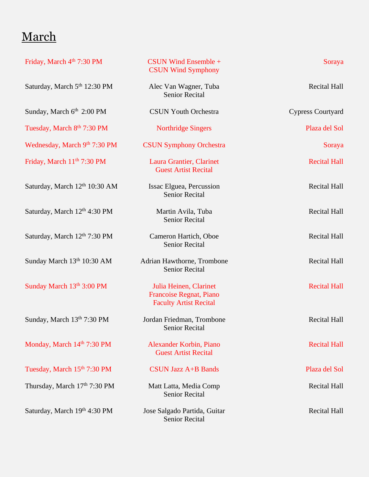# March

| Friday, March 4th 7:30 PM                | CSUN Wind Ensemble +<br><b>CSUN Wind Symphony</b>                                  | Soraya                   |
|------------------------------------------|------------------------------------------------------------------------------------|--------------------------|
| Saturday, March 5 <sup>th</sup> 12:30 PM | Alec Van Wagner, Tuba<br><b>Senior Recital</b>                                     | <b>Recital Hall</b>      |
| Sunday, March 6 <sup>th</sup> 2:00 PM    | <b>CSUN Youth Orchestra</b>                                                        | <b>Cypress Courtyard</b> |
| Tuesday, March 8th 7:30 PM               | <b>Northridge Singers</b>                                                          | Plaza del Sol            |
| Wednesday, March 9th 7:30 PM             | <b>CSUN Symphony Orchestra</b>                                                     | Soraya                   |
| Friday, March 11 <sup>th</sup> 7:30 PM   | Laura Grantier, Clarinet<br><b>Guest Artist Recital</b>                            | <b>Recital Hall</b>      |
| Saturday, March 12th 10:30 AM            | Issac Elguea, Percussion<br><b>Senior Recital</b>                                  | <b>Recital Hall</b>      |
| Saturday, March 12th 4:30 PM             | Martin Avila, Tuba<br><b>Senior Recital</b>                                        | <b>Recital Hall</b>      |
| Saturday, March 12th 7:30 PM             | Cameron Hartich, Oboe<br><b>Senior Recital</b>                                     | <b>Recital Hall</b>      |
| Sunday March 13th 10:30 AM               | Adrian Hawthorne, Trombone<br><b>Senior Recital</b>                                | <b>Recital Hall</b>      |
| Sunday March 13th 3:00 PM                | Julia Heinen, Clarinet<br>Francoise Regnat, Piano<br><b>Faculty Artist Recital</b> | <b>Recital Hall</b>      |
| Sunday, March 13th 7:30 PM               | Jordan Friedman, Trombone<br>Senior Recital                                        | <b>Recital Hall</b>      |
| Monday, March 14th 7:30 PM               | Alexander Korbin, Piano<br><b>Guest Artist Recital</b>                             | <b>Recital Hall</b>      |
| Tuesday, March 15th 7:30 PM              | <b>CSUN Jazz A+B Bands</b>                                                         | Plaza del Sol            |
| Thursday, March 17th 7:30 PM             | Matt Latta, Media Comp<br><b>Senior Recital</b>                                    | <b>Recital Hall</b>      |
| Saturday, March 19th 4:30 PM             | Jose Salgado Partida, Guitar<br><b>Senior Recital</b>                              | <b>Recital Hall</b>      |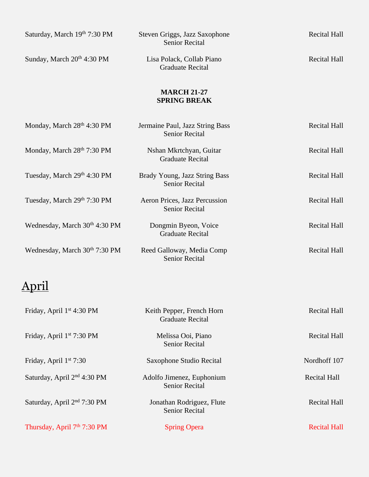| Saturday, March 19th 7:30 PM              | Steven Griggs, Jazz Saxophone<br><b>Senior Recital</b>   | <b>Recital Hall</b> |
|-------------------------------------------|----------------------------------------------------------|---------------------|
| Sunday, March 20 <sup>th</sup> 4:30 PM    | Lisa Polack, Collab Piano<br><b>Graduate Recital</b>     | <b>Recital Hall</b> |
|                                           | <b>MARCH 21-27</b><br><b>SPRING BREAK</b>                |                     |
| Monday, March 28 <sup>th</sup> 4:30 PM    | Jermaine Paul, Jazz String Bass<br><b>Senior Recital</b> | <b>Recital Hall</b> |
| Monday, March 28th 7:30 PM                | Nshan Mkrtchyan, Guitar<br><b>Graduate Recital</b>       | <b>Recital Hall</b> |
| Tuesday, March 29th 4:30 PM               | Brady Young, Jazz String Bass<br><b>Senior Recital</b>   | <b>Recital Hall</b> |
| Tuesday, March 29th 7:30 PM               | Aeron Prices, Jazz Percussion<br><b>Senior Recital</b>   | <b>Recital Hall</b> |
| Wednesday, March 30 <sup>th</sup> 4:30 PM | Dongmin Byeon, Voice<br><b>Graduate Recital</b>          | <b>Recital Hall</b> |
| Wednesday, March 30 <sup>th</sup> 7:30 PM | Reed Galloway, Media Comp<br><b>Senior Recital</b>       | <b>Recital Hall</b> |
|                                           |                                                          |                     |
| Friday, April 1 <sup>st</sup> 4:30 PM     | Keith Pepper, French Horn<br><b>Graduate Recital</b>     | <b>Recital Hall</b> |
| Friday, April 1 <sup>st</sup> 7:30 PM     | Melissa Ooi, Piano<br><b>Senior Recital</b>              | <b>Recital Hall</b> |
| Friday, April $1st$ 7:30                  | Saxophone Studio Recital                                 | Nordhoff 107        |
| Saturday, April 2 <sup>nd</sup> 4:30 PM   | Adolfo Jimenez, Euphonium<br><b>Senior Recital</b>       | <b>Recital Hall</b> |
| Saturday, April 2 <sup>nd</sup> 7:30 PM   | Jonathan Rodriguez, Flute<br><b>Senior Recital</b>       | <b>Recital Hall</b> |
| Thursday, April 7 <sup>th</sup> 7:30 PM   | <b>Spring Opera</b>                                      | <b>Recital Hall</b> |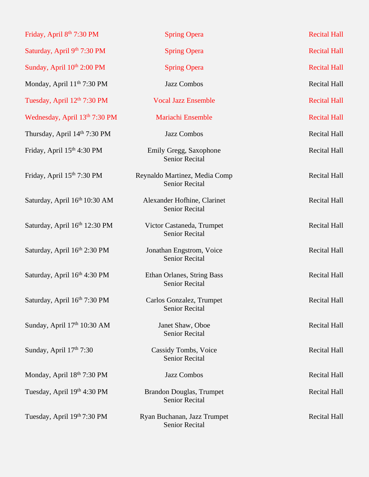| Friday, April 8 <sup>th</sup> 7:30 PM  | <b>Spring Opera</b>                                    | <b>Recital Hall</b> |
|----------------------------------------|--------------------------------------------------------|---------------------|
| Saturday, April 9th 7:30 PM            | <b>Spring Opera</b>                                    | <b>Recital Hall</b> |
| Sunday, April 10th 2:00 PM             | <b>Spring Opera</b>                                    | <b>Recital Hall</b> |
| Monday, April 11 <sup>th</sup> 7:30 PM | Jazz Combos                                            | <b>Recital Hall</b> |
| Tuesday, April 12th 7:30 PM            | <b>Vocal Jazz Ensemble</b>                             | <b>Recital Hall</b> |
| Wednesday, April 13th 7:30 PM          | Mariachi Ensemble                                      | <b>Recital Hall</b> |
| Thursday, April 14th 7:30 PM           | Jazz Combos                                            | <b>Recital Hall</b> |
| Friday, April 15th 4:30 PM             | Emily Gregg, Saxophone<br><b>Senior Recital</b>        | <b>Recital Hall</b> |
| Friday, April 15th 7:30 PM             | Reynaldo Martinez, Media Comp<br><b>Senior Recital</b> | <b>Recital Hall</b> |
| Saturday, April 16th 10:30 AM          | Alexander Hofhine, Clarinet<br><b>Senior Recital</b>   | <b>Recital Hall</b> |
| Saturday, April 16th 12:30 PM          | Victor Castaneda, Trumpet<br><b>Senior Recital</b>     | <b>Recital Hall</b> |
| Saturday, April 16th 2:30 PM           | Jonathan Engstrom, Voice<br>Senior Recital             | <b>Recital Hall</b> |
| Saturday, April 16th 4:30 PM           | Ethan Orlanes, String Bass<br><b>Senior Recital</b>    | Recital Hall        |
| Saturday, April 16th 7:30 PM           | Carlos Gonzalez, Trumpet<br><b>Senior Recital</b>      | Recital Hall        |
| Sunday, April 17th 10:30 AM            | Janet Shaw, Oboe<br><b>Senior Recital</b>              | <b>Recital Hall</b> |
| Sunday, April $17th$ 7:30              | Cassidy Tombs, Voice<br><b>Senior Recital</b>          | <b>Recital Hall</b> |
| Monday, April 18th 7:30 PM             | Jazz Combos                                            | <b>Recital Hall</b> |
| Tuesday, April 19th 4:30 PM            | Brandon Douglas, Trumpet<br><b>Senior Recital</b>      | <b>Recital Hall</b> |
| Tuesday, April 19th 7:30 PM            | Ryan Buchanan, Jazz Trumpet<br>Senior Recital          | <b>Recital Hall</b> |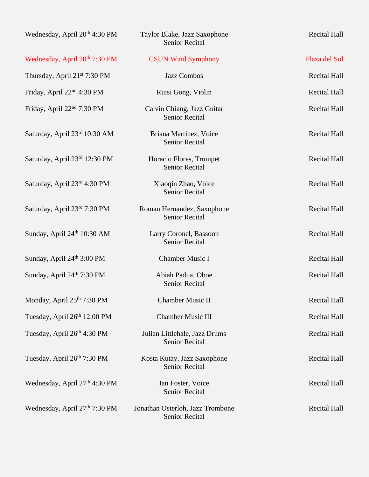| Wednesday, April 20 <sup>th</sup> 4:30 PM | Taylor Blake, Jazz Saxophone<br><b>Senior Recital</b>  | <b>Recital Hall</b> |
|-------------------------------------------|--------------------------------------------------------|---------------------|
| Wednesday, April 20 <sup>th</sup> 7:30 PM | <b>CSUN Wind Symphony</b>                              | Plaza del Sol       |
| Thursday, April 21st 7:30 PM              | Jazz Combos                                            | <b>Recital Hall</b> |
| Friday, April 22 <sup>nd</sup> 4:30 PM    | Ruisi Gong, Violin                                     | <b>Recital Hall</b> |
| Friday, April 22 <sup>nd</sup> 7:30 PM    | Calvin Chiang, Jazz Guitar<br><b>Senior Recital</b>    | <b>Recital Hall</b> |
| Saturday, April 23rd 10:30 AM             | Briana Martinez, Voice<br><b>Senior Recital</b>        | <b>Recital Hall</b> |
| Saturday, April 23rd 12:30 PM             | Horacio Flores, Trumpet<br>Senior Recital              | <b>Recital Hall</b> |
| Saturday, April 23rd 4:30 PM              | Xiaoqin Zhao, Voice<br><b>Senior Recital</b>           | <b>Recital Hall</b> |
| Saturday, April 23rd 7:30 PM              | Roman Hernandez, Saxophone<br><b>Senior Recital</b>    | <b>Recital Hall</b> |
| Sunday, April 24th 10:30 AM               | Larry Coronel, Bassoon<br><b>Senior Recital</b>        | <b>Recital Hall</b> |
| Sunday, April 24th 3:00 PM                | <b>Chamber Music I</b>                                 | <b>Recital Hall</b> |
| Sunday, April 24th 7:30 PM                | Abiah Padua, Oboe<br>Senior Recital                    | <b>Recital Hall</b> |
| Monday, April 25th 7:30 PM                | <b>Chamber Music II</b>                                | <b>Recital Hall</b> |
| Tuesday, April 26th 12:00 PM              | <b>Chamber Music III</b>                               | <b>Recital Hall</b> |
| Tuesday, April 26th 4:30 PM               | Julian Littlehale, Jazz Drums<br><b>Senior Recital</b> | <b>Recital Hall</b> |
| Tuesday, April 26th 7:30 PM               | Kosta Kutay, Jazz Saxophone<br>Senior Recital          | <b>Recital Hall</b> |
| Wednesday, April 27th 4:30 PM             | Ian Foster, Voice<br><b>Senior Recital</b>             | <b>Recital Hall</b> |
| Wednesday, April 27th 7:30 PM             | Jonathan Osterloh, Jazz Trombone<br>Senior Recital     | <b>Recital Hall</b> |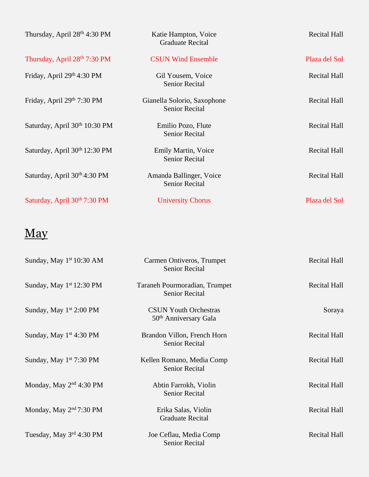| Thursday, April 28 <sup>th</sup> 4:30 PM  | Katie Hampton, Voice<br><b>Graduate Recital</b>      | <b>Recital Hall</b> |
|-------------------------------------------|------------------------------------------------------|---------------------|
| Thursday, April 28th 7:30 PM              | <b>CSUN Wind Ensemble</b>                            | Plaza del Sol       |
| Friday, April 29th 4:30 PM                | Gil Yousem, Voice<br><b>Senior Recital</b>           | <b>Recital Hall</b> |
| Friday, April 29th 7:30 PM                | Gianella Solorio, Saxophone<br><b>Senior Recital</b> | <b>Recital Hall</b> |
| Saturday, April 30th 10:30 PM             | Emilio Pozo, Flute<br><b>Senior Recital</b>          | <b>Recital Hall</b> |
| Saturday, April 30 <sup>th</sup> 12:30 PM | Emily Martin, Voice<br><b>Senior Recital</b>         | <b>Recital Hall</b> |
| Saturday, April $30th 4:30$ PM            | Amanda Ballinger, Voice<br><b>Senior Recital</b>     | <b>Recital Hall</b> |
| Saturday, April 30th 7:30 PM              | <b>University Chorus</b>                             | Plaza del Sol       |

# May

| Sunday, May $1st 10:30 AM$          | Carmen Ontiveros, Trumpet<br><b>Senior Recital</b>                | <b>Recital Hall</b> |
|-------------------------------------|-------------------------------------------------------------------|---------------------|
| Sunday, May $1st 12:30 PM$          | Taraneh Pourmoradian, Trumpet<br><b>Senior Recital</b>            | <b>Recital Hall</b> |
| Sunday, May $1st 2:00 PM$           | <b>CSUN Youth Orchestras</b><br>50 <sup>th</sup> Anniversary Gala | Soraya              |
| Sunday, May $1st 4:30 PM$           | Brandon Villon, French Horn<br><b>Senior Recital</b>              | <b>Recital Hall</b> |
| Sunday, May $1st$ 7:30 PM           | Kellen Romano, Media Comp<br><b>Senior Recital</b>                | <b>Recital Hall</b> |
| Monday, May $2nd 4:30 PM$           | Abtin Farrokh, Violin<br><b>Senior Recital</b>                    | <b>Recital Hall</b> |
| Monday, May 2 <sup>nd</sup> 7:30 PM | Erika Salas, Violin<br><b>Graduate Recital</b>                    | <b>Recital Hall</b> |
| Tuesday, May $3^{rd}$ 4:30 PM       | Joe Ceflau, Media Comp<br><b>Senior Recital</b>                   | <b>Recital Hall</b> |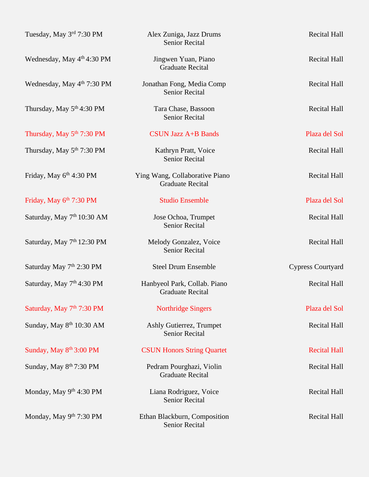| Tuesday, May 3 <sup>rd</sup> 7:30 PM   | Alex Zuniga, Jazz Drums<br><b>Senior Recital</b>          | <b>Recital Hall</b>      |
|----------------------------------------|-----------------------------------------------------------|--------------------------|
| Wednesday, May 4 <sup>th</sup> 4:30 PM | Jingwen Yuan, Piano<br><b>Graduate Recital</b>            | <b>Recital Hall</b>      |
| Wednesday, May 4 <sup>th</sup> 7:30 PM | Jonathan Fong, Media Comp<br><b>Senior Recital</b>        | <b>Recital Hall</b>      |
| Thursday, May 5 <sup>th</sup> 4:30 PM  | Tara Chase, Bassoon<br><b>Senior Recital</b>              | <b>Recital Hall</b>      |
| Thursday, May 5 <sup>th</sup> 7:30 PM  | <b>CSUN Jazz A+B Bands</b>                                | Plaza del Sol            |
| Thursday, May 5 <sup>th</sup> 7:30 PM  | Kathryn Pratt, Voice<br><b>Senior Recital</b>             | <b>Recital Hall</b>      |
| Friday, May 6th 4:30 PM                | Ying Wang, Collaborative Piano<br><b>Graduate Recital</b> | <b>Recital Hall</b>      |
| Friday, May 6th 7:30 PM                | <b>Studio Ensemble</b>                                    | Plaza del Sol            |
| Saturday, May 7 <sup>th</sup> 10:30 AM | Jose Ochoa, Trumpet<br><b>Senior Recital</b>              | <b>Recital Hall</b>      |
| Saturday, May 7 <sup>th</sup> 12:30 PM | Melody Gonzalez, Voice<br><b>Senior Recital</b>           | <b>Recital Hall</b>      |
| Saturday May 7 <sup>th</sup> 2:30 PM   | <b>Steel Drum Ensemble</b>                                | <b>Cypress Courtyard</b> |
| Saturday, May 7 <sup>th</sup> 4:30 PM  | Hanbyeol Park, Collab. Piano<br><b>Graduate Recital</b>   | <b>Recital Hall</b>      |
| Saturday, May 7th 7:30 PM              | <b>Northridge Singers</b>                                 | Plaza del Sol            |
| Sunday, May 8 <sup>th</sup> 10:30 AM   | Ashly Gutierrez, Trumpet<br><b>Senior Recital</b>         | <b>Recital Hall</b>      |
| Sunday, May 8 <sup>th</sup> 3:00 PM    | <b>CSUN Honors String Quartet</b>                         | <b>Recital Hall</b>      |
| Sunday, May 8 <sup>th</sup> 7:30 PM    | Pedram Pourghazi, Violin<br><b>Graduate Recital</b>       | <b>Recital Hall</b>      |
| Monday, May 9th 4:30 PM                | Liana Rodriguez, Voice<br><b>Senior Recital</b>           | <b>Recital Hall</b>      |
| Monday, May 9th 7:30 PM                | Ethan Blackburn, Composition<br><b>Senior Recital</b>     | <b>Recital Hall</b>      |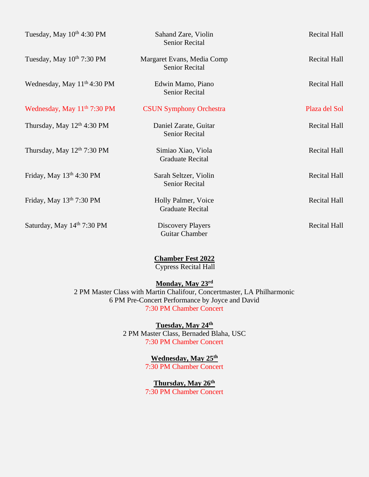| Tuesday, May $10^{th}$ 4:30 PM          | Sahand Zare, Violin<br><b>Senior Recital</b>        | <b>Recital Hall</b> |
|-----------------------------------------|-----------------------------------------------------|---------------------|
| Tuesday, May $10^{th}$ 7:30 PM          | Margaret Evans, Media Comp<br><b>Senior Recital</b> | <b>Recital Hall</b> |
| Wednesday, May 11 <sup>th</sup> 4:30 PM | Edwin Mamo, Piano<br><b>Senior Recital</b>          | <b>Recital Hall</b> |
| Wednesday, May $11th$ 7:30 PM           | <b>CSUN Symphony Orchestra</b>                      | Plaza del Sol       |
| Thursday, May $12th$ 4:30 PM            | Daniel Zarate, Guitar<br><b>Senior Recital</b>      | <b>Recital Hall</b> |
| Thursday, May $12th$ 7:30 PM            | Simiao Xiao, Viola<br><b>Graduate Recital</b>       | <b>Recital Hall</b> |
| Friday, May $13th 4:30 PM$              | Sarah Seltzer, Violin<br><b>Senior Recital</b>      | <b>Recital Hall</b> |
| Friday, May $13th$ 7:30 PM              | Holly Palmer, Voice<br><b>Graduate Recital</b>      | <b>Recital Hall</b> |
| Saturday, May 14th 7:30 PM              | <b>Discovery Players</b><br><b>Guitar Chamber</b>   | <b>Recital Hall</b> |

**Chamber Fest 2022**

Cypress Recital Hall

#### **Monday, May 23rd**

2 PM Master Class with Martin Chalifour, Concertmaster, LA Philharmonic 6 PM Pre-Concert Performance by Joyce and David 7:30 PM Chamber Concert

> **Tuesday, May 24th** 2 PM Master Class, Bernaded Blaha, USC 7:30 PM Chamber Concert

> > **Wednesday, May 25th** 7:30 PM Chamber Concert

**Thursday, May 26th** 7:30 PM Chamber Concert